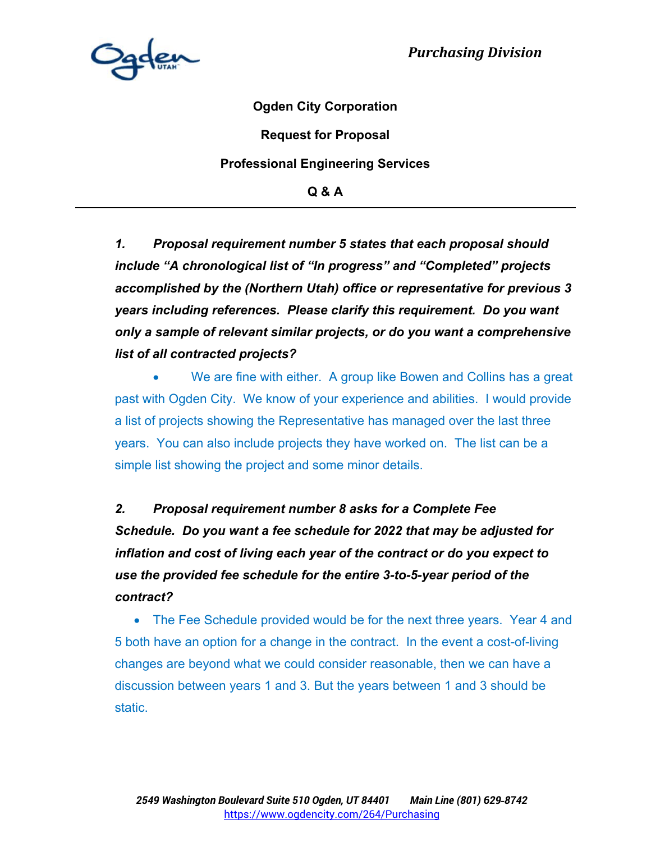

**Ogden City Corporation** 

**Request for Proposal** 

#### **Professional Engineering Services**

**Q & A** 

*1. Proposal requirement number 5 states that each proposal should include "A chronological list of "In progress" and "Completed" projects accomplished by the (Northern Utah) office or representative for previous 3 years including references. Please clarify this requirement. Do you want only a sample of relevant similar projects, or do you want a comprehensive list of all contracted projects?* 

 We are fine with either. A group like Bowen and Collins has a great past with Ogden City. We know of your experience and abilities. I would provide a list of projects showing the Representative has managed over the last three years. You can also include projects they have worked on. The list can be a simple list showing the project and some minor details.

*2. Proposal requirement number 8 asks for a Complete Fee Schedule. Do you want a fee schedule for 2022 that may be adjusted for inflation and cost of living each year of the contract or do you expect to use the provided fee schedule for the entire 3-to-5-year period of the contract?* 

• The Fee Schedule provided would be for the next three years. Year 4 and 5 both have an option for a change in the contract. In the event a cost-of-living changes are beyond what we could consider reasonable, then we can have a discussion between years 1 and 3. But the years between 1 and 3 should be static.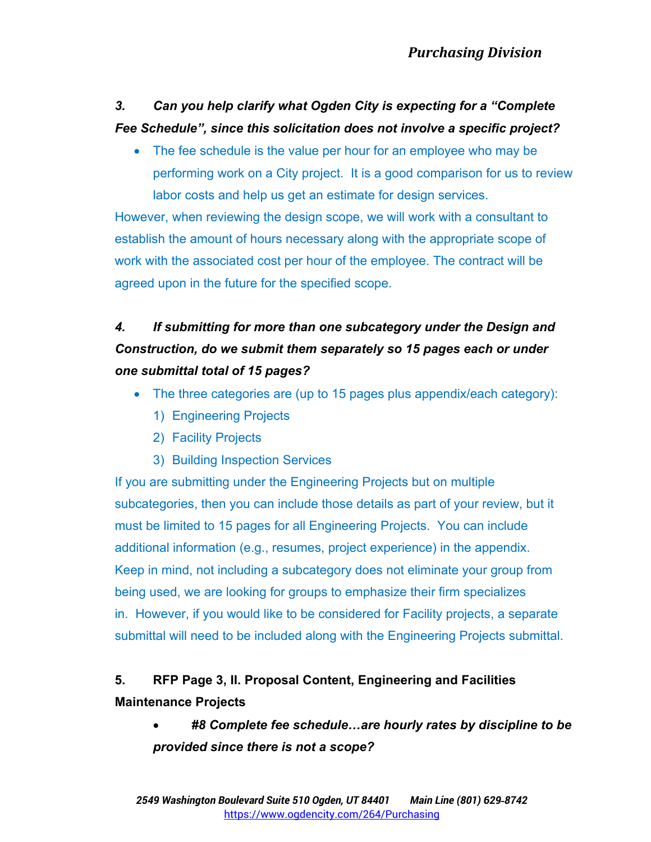### *3. Can you help clarify what Ogden City is expecting for a "Complete Fee Schedule", since this solicitation does not involve a specific project?*

• The fee schedule is the value per hour for an employee who may be performing work on a City project. It is a good comparison for us to review labor costs and help us get an estimate for design services.

However, when reviewing the design scope, we will work with a consultant to establish the amount of hours necessary along with the appropriate scope of work with the associated cost per hour of the employee. The contract will be agreed upon in the future for the specified scope.

# *4. If submitting for more than one subcategory under the Design and Construction, do we submit them separately so 15 pages each or under one submittal total of 15 pages?*

- The three categories are (up to 15 pages plus appendix/each category):
	- 1) Engineering Projects
	- 2) Facility Projects
	- 3) Building Inspection Services

If you are submitting under the Engineering Projects but on multiple subcategories, then you can include those details as part of your review, but it must be limited to 15 pages for all Engineering Projects. You can include additional information (e.g., resumes, project experience) in the appendix. Keep in mind, not including a subcategory does not eliminate your group from being used, we are looking for groups to emphasize their firm specializes in. However, if you would like to be considered for Facility projects, a separate submittal will need to be included along with the Engineering Projects submittal.

## **5. RFP Page 3, II. Proposal Content, Engineering and Facilities Maintenance Projects**

 *#8 Complete fee schedule…are hourly rates by discipline to be provided since there is not a scope?*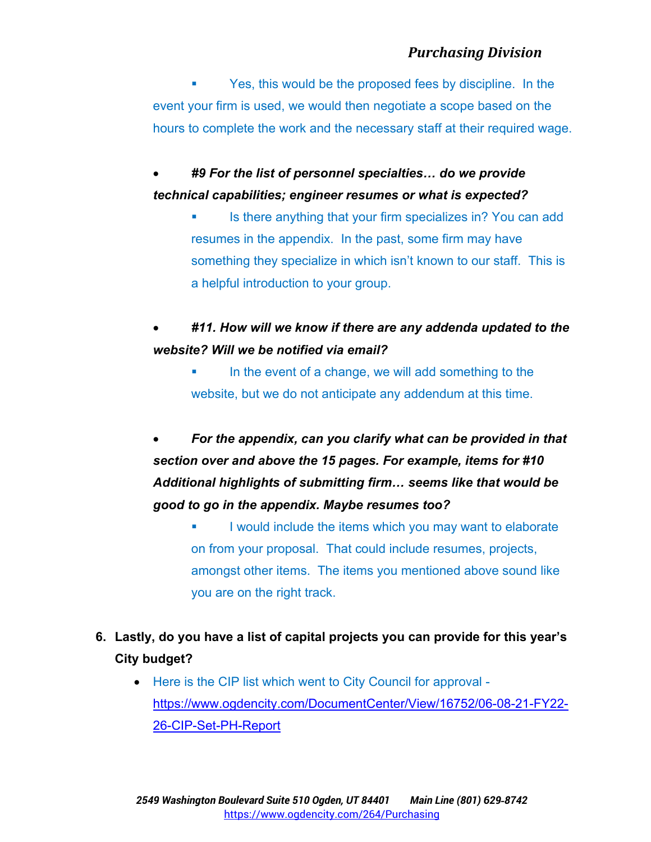Yes, this would be the proposed fees by discipline. In the event your firm is used, we would then negotiate a scope based on the hours to complete the work and the necessary staff at their required wage.

 *#9 For the list of personnel specialties… do we provide technical capabilities; engineer resumes or what is expected?*

- Is there anything that your firm specializes in? You can add resumes in the appendix. In the past, some firm may have something they specialize in which isn't known to our staff. This is a helpful introduction to your group.
- *#11. How will we know if there are any addenda updated to the website? Will we be notified via email?* 
	- In the event of a change, we will add something to the website, but we do not anticipate any addendum at this time.

 *For the appendix, can you clarify what can be provided in that section over and above the 15 pages. For example, items for #10 Additional highlights of submitting firm… seems like that would be good to go in the appendix. Maybe resumes too?* 

- I would include the items which you may want to elaborate on from your proposal. That could include resumes, projects, amongst other items. The items you mentioned above sound like you are on the right track.
- **6. Lastly, do you have a list of capital projects you can provide for this year's City budget?** 
	- Here is the CIP list which went to City Council for approval https://www.ogdencity.com/DocumentCenter/View/16752/06-08-21-FY22- 26-CIP-Set-PH-Report